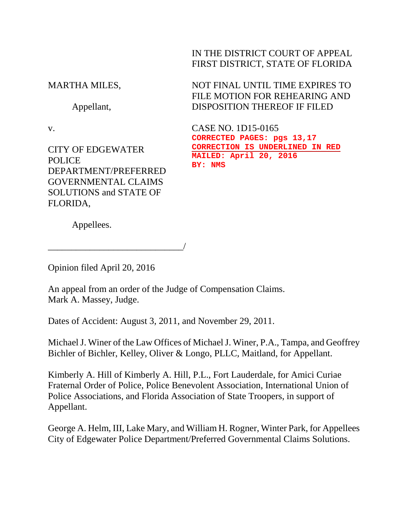IN THE DISTRICT COURT OF APPEAL FIRST DISTRICT, STATE OF FLORIDA

MARTHA MILES,

Appellant,

v.

CITY OF EDGEWATER POLICE DEPARTMENT/PREFERRED GOVERNMENTAL CLAIMS SOLUTIONS and STATE OF FLORIDA,

NOT FINAL UNTIL TIME EXPIRES TO FILE MOTION FOR REHEARING AND DISPOSITION THEREOF IF FILED

CASE NO. 1D15-0165 **CORRECTED PAGES: pgs 13,17 CORRECTION IS UNDERLINED IN RED MAILED: April 20, 2016 BY: NMS**

Appellees.

Opinion filed April 20, 2016

\_\_\_\_\_\_\_\_\_\_\_\_\_\_\_\_\_\_\_\_\_\_\_\_\_\_\_\_\_/

An appeal from an order of the Judge of Compensation Claims. Mark A. Massey, Judge.

Dates of Accident: August 3, 2011, and November 29, 2011.

Michael J. Winer of the Law Offices of Michael J. Winer, P.A., Tampa, and Geoffrey Bichler of Bichler, Kelley, Oliver & Longo, PLLC, Maitland, for Appellant.

Kimberly A. Hill of Kimberly A. Hill, P.L., Fort Lauderdale, for Amici Curiae Fraternal Order of Police, Police Benevolent Association, International Union of Police Associations, and Florida Association of State Troopers, in support of Appellant.

George A. Helm, III, Lake Mary, and William H. Rogner, Winter Park, for Appellees City of Edgewater Police Department/Preferred Governmental Claims Solutions.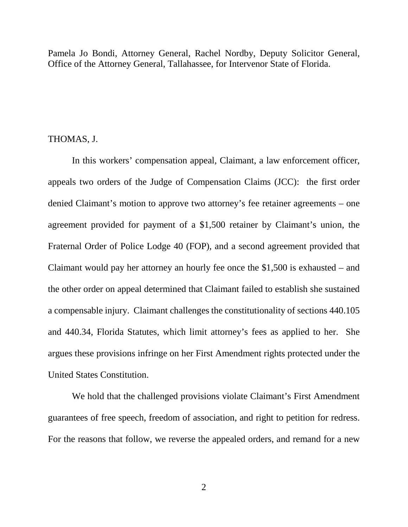Pamela Jo Bondi, Attorney General, Rachel Nordby, Deputy Solicitor General, Office of the Attorney General, Tallahassee, for Intervenor State of Florida.

## THOMAS, J.

In this workers' compensation appeal, Claimant, a law enforcement officer, appeals two orders of the Judge of Compensation Claims (JCC): the first order denied Claimant's motion to approve two attorney's fee retainer agreements – one agreement provided for payment of a \$1,500 retainer by Claimant's union, the Fraternal Order of Police Lodge 40 (FOP), and a second agreement provided that Claimant would pay her attorney an hourly fee once the \$1,500 is exhausted – and the other order on appeal determined that Claimant failed to establish she sustained a compensable injury. Claimant challenges the constitutionality of sections 440.105 and 440.34, Florida Statutes, which limit attorney's fees as applied to her. She argues these provisions infringe on her First Amendment rights protected under the United States Constitution.

We hold that the challenged provisions violate Claimant's First Amendment guarantees of free speech, freedom of association, and right to petition for redress. For the reasons that follow, we reverse the appealed orders, and remand for a new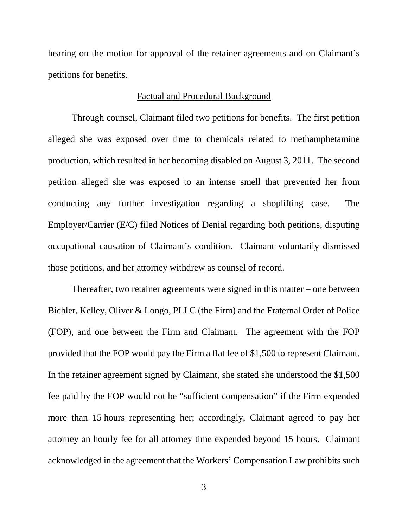hearing on the motion for approval of the retainer agreements and on Claimant's petitions for benefits.

# Factual and Procedural Background

Through counsel, Claimant filed two petitions for benefits. The first petition alleged she was exposed over time to chemicals related to methamphetamine production, which resulted in her becoming disabled on August 3, 2011. The second petition alleged she was exposed to an intense smell that prevented her from conducting any further investigation regarding a shoplifting case. The Employer/Carrier (E/C) filed Notices of Denial regarding both petitions, disputing occupational causation of Claimant's condition. Claimant voluntarily dismissed those petitions, and her attorney withdrew as counsel of record.

Thereafter, two retainer agreements were signed in this matter – one between Bichler, Kelley, Oliver & Longo, PLLC (the Firm) and the Fraternal Order of Police (FOP), and one between the Firm and Claimant. The agreement with the FOP provided that the FOP would pay the Firm a flat fee of \$1,500 to represent Claimant. In the retainer agreement signed by Claimant, she stated she understood the \$1,500 fee paid by the FOP would not be "sufficient compensation" if the Firm expended more than 15 hours representing her; accordingly, Claimant agreed to pay her attorney an hourly fee for all attorney time expended beyond 15 hours. Claimant acknowledged in the agreement that the Workers' Compensation Law prohibits such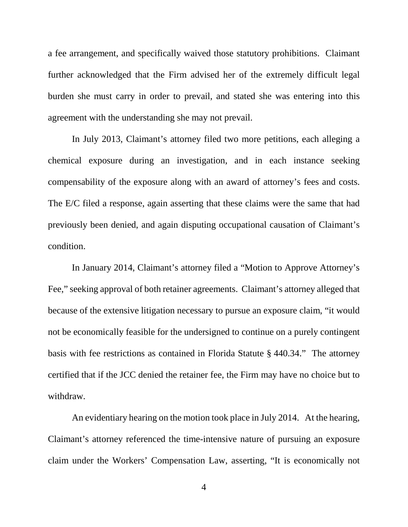a fee arrangement, and specifically waived those statutory prohibitions. Claimant further acknowledged that the Firm advised her of the extremely difficult legal burden she must carry in order to prevail, and stated she was entering into this agreement with the understanding she may not prevail.

In July 2013, Claimant's attorney filed two more petitions, each alleging a chemical exposure during an investigation, and in each instance seeking compensability of the exposure along with an award of attorney's fees and costs. The E/C filed a response, again asserting that these claims were the same that had previously been denied, and again disputing occupational causation of Claimant's condition.

In January 2014, Claimant's attorney filed a "Motion to Approve Attorney's Fee," seeking approval of both retainer agreements. Claimant's attorney alleged that because of the extensive litigation necessary to pursue an exposure claim, "it would not be economically feasible for the undersigned to continue on a purely contingent basis with fee restrictions as contained in Florida Statute § 440.34." The attorney certified that if the JCC denied the retainer fee, the Firm may have no choice but to withdraw.

An evidentiary hearing on the motion took place in July 2014. At the hearing, Claimant's attorney referenced the time-intensive nature of pursuing an exposure claim under the Workers' Compensation Law, asserting, "It is economically not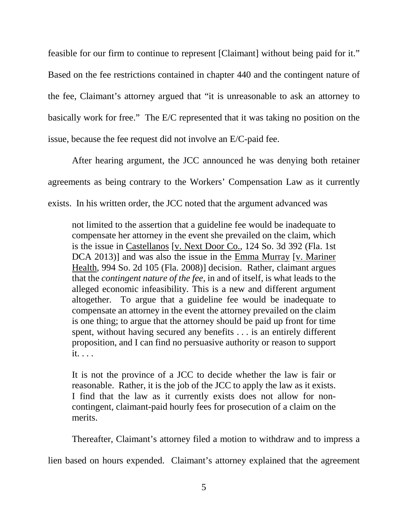feasible for our firm to continue to represent [Claimant] without being paid for it." Based on the fee restrictions contained in chapter 440 and the contingent nature of the fee, Claimant's attorney argued that "it is unreasonable to ask an attorney to basically work for free." The E/C represented that it was taking no position on the issue, because the fee request did not involve an E/C-paid fee.

After hearing argument, the JCC announced he was denying both retainer agreements as being contrary to the Workers' Compensation Law as it currently exists. In his written order, the JCC noted that the argument advanced was

not limited to the assertion that a guideline fee would be inadequate to compensate her attorney in the event she prevailed on the claim, which is the issue in Castellanos [v. Next Door Co., 124 So. 3d 392 (Fla. 1st DCA 2013)] and was also the issue in the Emma Murray [v. Mariner Health, 994 So. 2d 105 (Fla. 2008)] decision. Rather, claimant argues that the *contingent nature of the fee*, in and of itself, is what leads to the alleged economic infeasibility. This is a new and different argument altogether. To argue that a guideline fee would be inadequate to compensate an attorney in the event the attorney prevailed on the claim is one thing; to argue that the attorney should be paid up front for time spent, without having secured any benefits . . . is an entirely different proposition, and I can find no persuasive authority or reason to support it. . . .

It is not the province of a JCC to decide whether the law is fair or reasonable. Rather, it is the job of the JCC to apply the law as it exists. I find that the law as it currently exists does not allow for noncontingent, claimant-paid hourly fees for prosecution of a claim on the merits.

Thereafter, Claimant's attorney filed a motion to withdraw and to impress a

lien based on hours expended. Claimant's attorney explained that the agreement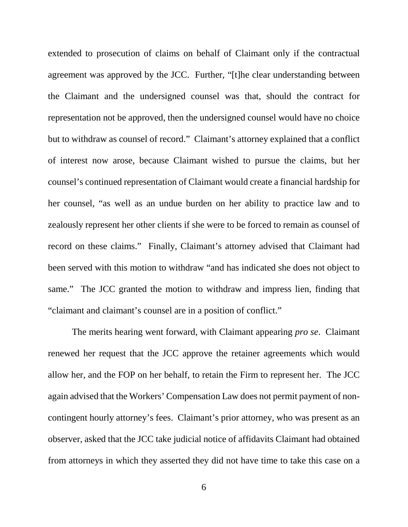extended to prosecution of claims on behalf of Claimant only if the contractual agreement was approved by the JCC. Further, "[t]he clear understanding between the Claimant and the undersigned counsel was that, should the contract for representation not be approved, then the undersigned counsel would have no choice but to withdraw as counsel of record." Claimant's attorney explained that a conflict of interest now arose, because Claimant wished to pursue the claims, but her counsel's continued representation of Claimant would create a financial hardship for her counsel, "as well as an undue burden on her ability to practice law and to zealously represent her other clients if she were to be forced to remain as counsel of record on these claims." Finally, Claimant's attorney advised that Claimant had been served with this motion to withdraw "and has indicated she does not object to same." The JCC granted the motion to withdraw and impress lien, finding that "claimant and claimant's counsel are in a position of conflict."

The merits hearing went forward, with Claimant appearing *pro se*. Claimant renewed her request that the JCC approve the retainer agreements which would allow her, and the FOP on her behalf, to retain the Firm to represent her. The JCC again advised that the Workers' Compensation Law does not permit payment of noncontingent hourly attorney's fees. Claimant's prior attorney, who was present as an observer, asked that the JCC take judicial notice of affidavits Claimant had obtained from attorneys in which they asserted they did not have time to take this case on a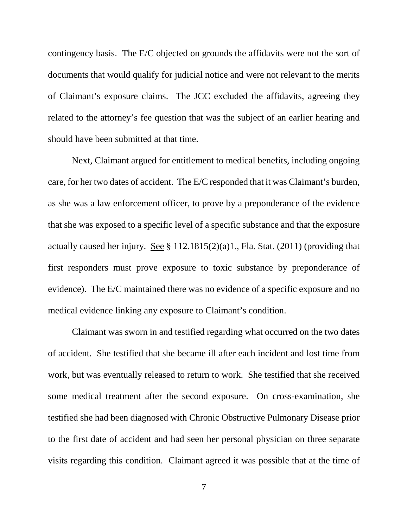contingency basis. The E/C objected on grounds the affidavits were not the sort of documents that would qualify for judicial notice and were not relevant to the merits of Claimant's exposure claims. The JCC excluded the affidavits, agreeing they related to the attorney's fee question that was the subject of an earlier hearing and should have been submitted at that time.

Next, Claimant argued for entitlement to medical benefits, including ongoing care, for her two dates of accident. The E/C responded that it was Claimant's burden, as she was a law enforcement officer, to prove by a preponderance of the evidence that she was exposed to a specific level of a specific substance and that the exposure actually caused her injury. See  $\S 112.1815(2)(a)1$ ., Fla. Stat. (2011) (providing that first responders must prove exposure to toxic substance by preponderance of evidence). The E/C maintained there was no evidence of a specific exposure and no medical evidence linking any exposure to Claimant's condition.

Claimant was sworn in and testified regarding what occurred on the two dates of accident. She testified that she became ill after each incident and lost time from work, but was eventually released to return to work. She testified that she received some medical treatment after the second exposure. On cross-examination, she testified she had been diagnosed with Chronic Obstructive Pulmonary Disease prior to the first date of accident and had seen her personal physician on three separate visits regarding this condition. Claimant agreed it was possible that at the time of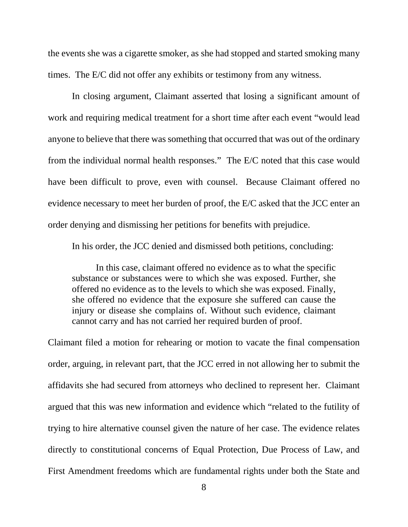the events she was a cigarette smoker, as she had stopped and started smoking many times. The E/C did not offer any exhibits or testimony from any witness.

In closing argument, Claimant asserted that losing a significant amount of work and requiring medical treatment for a short time after each event "would lead anyone to believe that there was something that occurred that was out of the ordinary from the individual normal health responses." The E/C noted that this case would have been difficult to prove, even with counsel. Because Claimant offered no evidence necessary to meet her burden of proof, the E/C asked that the JCC enter an order denying and dismissing her petitions for benefits with prejudice.

In his order, the JCC denied and dismissed both petitions, concluding:

In this case, claimant offered no evidence as to what the specific substance or substances were to which she was exposed. Further, she offered no evidence as to the levels to which she was exposed. Finally, she offered no evidence that the exposure she suffered can cause the injury or disease she complains of. Without such evidence, claimant cannot carry and has not carried her required burden of proof.

Claimant filed a motion for rehearing or motion to vacate the final compensation order, arguing, in relevant part, that the JCC erred in not allowing her to submit the affidavits she had secured from attorneys who declined to represent her. Claimant argued that this was new information and evidence which "related to the futility of trying to hire alternative counsel given the nature of her case. The evidence relates directly to constitutional concerns of Equal Protection, Due Process of Law, and First Amendment freedoms which are fundamental rights under both the State and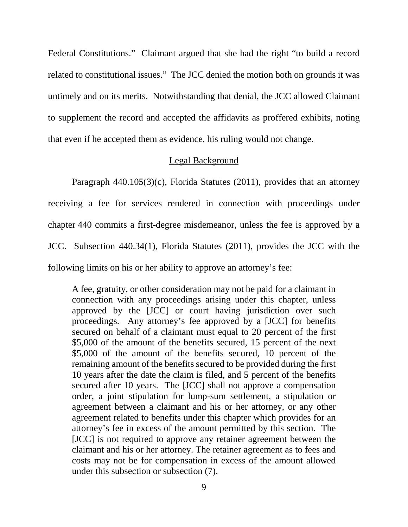Federal Constitutions." Claimant argued that she had the right "to build a record related to constitutional issues." The JCC denied the motion both on grounds it was untimely and on its merits. Notwithstanding that denial, the JCC allowed Claimant to supplement the record and accepted the affidavits as proffered exhibits, noting that even if he accepted them as evidence, his ruling would not change.

## Legal Background

Paragraph 440.105(3)(c), Florida Statutes (2011), provides that an attorney receiving a fee for services rendered in connection with proceedings under chapter 440 commits a first-degree misdemeanor, unless the fee is approved by a JCC. Subsection 440.34(1), Florida Statutes (2011), provides the JCC with the following limits on his or her ability to approve an attorney's fee:

A fee, gratuity, or other consideration may not be paid for a claimant in connection with any proceedings arising under this chapter, unless approved by the [JCC] or court having jurisdiction over such proceedings. Any attorney's fee approved by a [JCC] for benefits secured on behalf of a claimant must equal to 20 percent of the first \$5,000 of the amount of the benefits secured, 15 percent of the next \$5,000 of the amount of the benefits secured, 10 percent of the remaining amount of the benefits secured to be provided during the first 10 years after the date the claim is filed, and 5 percent of the benefits secured after 10 years. The [JCC] shall not approve a compensation order, a joint stipulation for lump-sum settlement, a stipulation or agreement between a claimant and his or her attorney, or any other agreement related to benefits under this chapter which provides for an attorney's fee in excess of the amount permitted by this section. The [JCC] is not required to approve any retainer agreement between the claimant and his or her attorney. The retainer agreement as to fees and costs may not be for compensation in excess of the amount allowed under this subsection or subsection (7).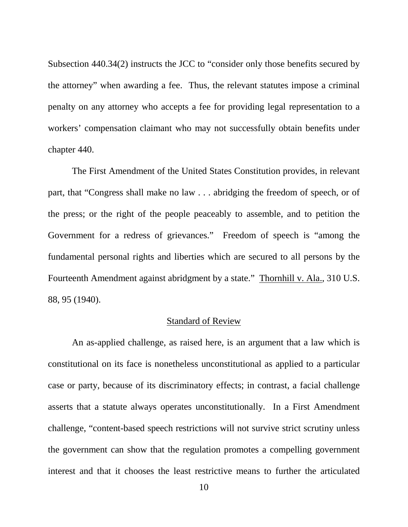Subsection 440.34(2) instructs the JCC to "consider only those benefits secured by the attorney" when awarding a fee. Thus, the relevant statutes impose a criminal penalty on any attorney who accepts a fee for providing legal representation to a workers' compensation claimant who may not successfully obtain benefits under chapter 440.

The First Amendment of the United States Constitution provides, in relevant part, that "Congress shall make no law . . . abridging the freedom of speech, or of the press; or the right of the people peaceably to assemble, and to petition the Government for a redress of grievances." Freedom of speech is "among the fundamental personal rights and liberties which are secured to all persons by the Fourteenth Amendment against abridgment by a state." Thornhill v. Ala., 310 U.S. 88, 95 (1940).

#### Standard of Review

An as-applied challenge, as raised here, is an argument that a law which is constitutional on its face is nonetheless unconstitutional as applied to a particular case or party, because of its discriminatory effects; in contrast, a facial challenge asserts that a statute always operates unconstitutionally. In a First Amendment challenge, "content-based speech restrictions will not survive strict scrutiny unless the government can show that the regulation promotes a compelling government interest and that it chooses the least restrictive means to further the articulated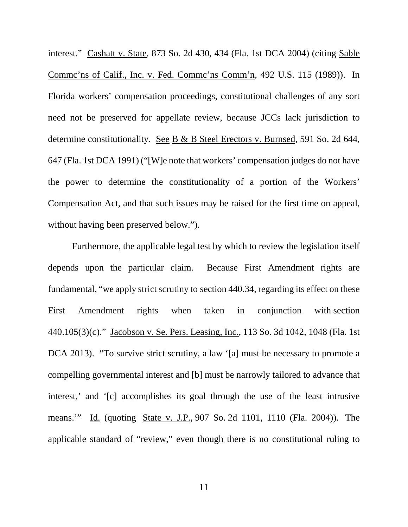interest." Cashatt v. State, 873 So. 2d 430, 434 (Fla. 1st DCA 2004) (citing Sable Commc'ns of Calif., Inc. v. Fed. Commc'ns Comm'n, 492 U.S. 115 (1989)). In Florida workers' compensation proceedings, constitutional challenges of any sort need not be preserved for appellate review, because JCCs lack jurisdiction to determine constitutionality. See B & B Steel Erectors v. Burnsed, 591 So. 2d 644, 647 (Fla. 1st DCA 1991) ("[W]e note that workers' compensation judges do not have the power to determine the constitutionality of a portion of the Workers' Compensation Act, and that such issues may be raised for the first time on appeal, without having been preserved below.").

Furthermore, the applicable legal test by which to review the legislation itself depends upon the particular claim. Because First Amendment rights are fundamental, "we apply strict scrutiny to section 440.34, regarding its effect on these First Amendment rights when taken in conjunction with section 440.105(3)(c)." Jacobson v. Se. Pers. Leasing, Inc., 113 So. 3d 1042, 1048 (Fla. 1st DCA 2013). "To survive strict scrutiny, a law '[a] must be necessary to promote a compelling governmental interest and [b] must be narrowly tailored to advance that interest,' and '[c] accomplishes its goal through the use of the least intrusive means."" Id. (quoting State <u>v. J.P.</u>, 907 So. 2d 1101, 1110 (Fla. 2004)). The applicable standard of "review," even though there is no constitutional ruling to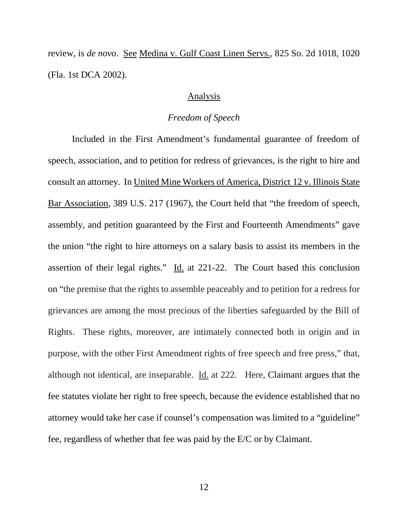review, is *de novo*. See Medina v. Gulf Coast Linen Servs., 825 So. 2d 1018, 1020 (Fla. 1st DCA 2002).

#### Analysis

## *Freedom of Speech*

Included in the First Amendment's fundamental guarantee of freedom of speech, association, and to petition for redress of grievances, is the right to hire and consult an attorney. In United Mine Workers of America, District 12 v. Illinois State Bar Association, 389 U.S. 217 (1967), the Court held that "the freedom of speech, assembly, and petition guaranteed by the First and Fourteenth Amendments" gave the union "the right to hire attorneys on a salary basis to assist its members in the assertion of their legal rights." Id. at 221-22. The Court based this conclusion on "the premise that the rights to assemble peaceably and to petition for a redress for grievances are among the most precious of the liberties safeguarded by the Bill of Rights. These rights, moreover, are intimately connected both in origin and in purpose, with the other First Amendment rights of free speech and free press," that, although not identical, are inseparable. Id. at 222. Here, Claimant argues that the fee statutes violate her right to free speech, because the evidence established that no attorney would take her case if counsel's compensation was limited to a "guideline" fee, regardless of whether that fee was paid by the E/C or by Claimant.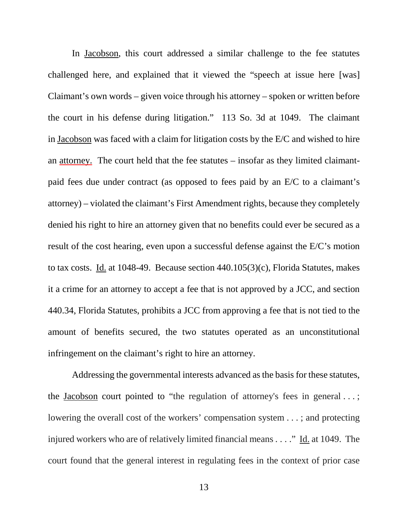In Jacobson, this court addressed a similar challenge to the fee statutes challenged here, and explained that it viewed the "speech at issue here [was] Claimant's own words – given voice through his attorney – spoken or written before the court in his defense during litigation." 113 So. 3d at 1049. The claimant in Jacobson was faced with a claim for litigation costs by the E/C and wished to hire an attorney. The court held that the fee statutes – insofar as they limited claimantpaid fees due under contract (as opposed to fees paid by an E/C to a claimant's attorney) – violated the claimant's First Amendment rights, because they completely denied his right to hire an attorney given that no benefits could ever be secured as a result of the cost hearing, even upon a successful defense against the E/C's motion to tax costs. Id. at 1048-49. Because section 440.105(3)(c), Florida Statutes, makes it a crime for an attorney to accept a fee that is not approved by a JCC, and section 440.34, Florida Statutes, prohibits a JCC from approving a fee that is not tied to the amount of benefits secured, the two statutes operated as an unconstitutional infringement on the claimant's right to hire an attorney.

Addressing the governmental interests advanced as the basis for these statutes, the Jacobson court pointed to "the regulation of attorney's fees in general . . . ; lowering the overall cost of the workers' compensation system . . . ; and protecting injured workers who are of relatively limited financial means . . . ." Id. at 1049. The court found that the general interest in regulating fees in the context of prior case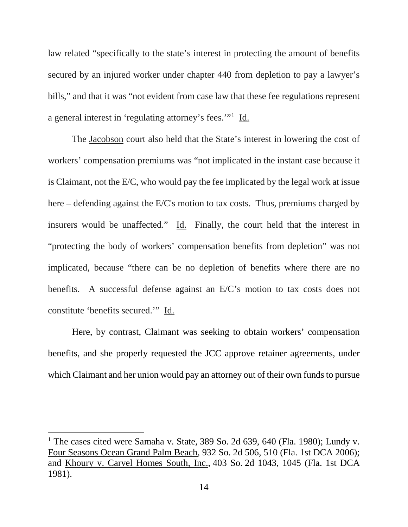law related "specifically to the state's interest in protecting the amount of benefits secured by an injured worker under chapter 440 from depletion to pay a lawyer's bills," and that it was "not evident from case law that these fee regulations represent a general interest in 'regulating attorney's fees.'"[1](#page-13-0) Id.

The Jacobson court also held that the State's interest in lowering the cost of workers' compensation premiums was "not implicated in the instant case because it is Claimant, not the E/C, who would pay the fee implicated by the legal work at issue here – defending against the E/C's motion to tax costs. Thus, premiums charged by insurers would be unaffected." Id. Finally, the court held that the interest in "protecting the body of workers' compensation benefits from depletion" was not implicated, because "there can be no depletion of benefits where there are no benefits. A successful defense against an E/C's motion to tax costs does not constitute 'benefits secured.'" Id.

Here, by contrast, Claimant was seeking to obtain workers' compensation benefits, and she properly requested the JCC approve retainer agreements, under which Claimant and her union would pay an attorney out of their own funds to pursue

Ĩ.

<span id="page-13-0"></span><sup>&</sup>lt;sup>1</sup> The cases cited were **Samaha v. State**, 389 So. 2d 639, 640 (Fla. 1980); Lundy v. Four Seasons Ocean Grand Palm Beach, 932 So. 2d 506, 510 (Fla. 1st DCA 2006); and Khoury v. Carvel Homes South, Inc., 403 So. 2d 1043, 1045 (Fla. 1st DCA 1981).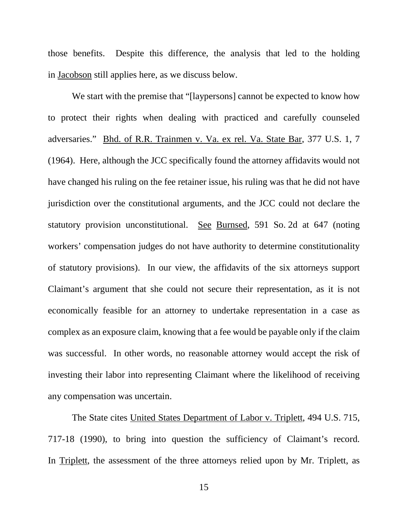those benefits. Despite this difference, the analysis that led to the holding in Jacobson still applies here, as we discuss below.

We start with the premise that "[laypersons] cannot be expected to know how to protect their rights when dealing with practiced and carefully counseled adversaries." Bhd. of R.R. Trainmen v. Va. ex rel. Va. State Bar, 377 U.S. 1, 7 (1964). Here, although the JCC specifically found the attorney affidavits would not have changed his ruling on the fee retainer issue, his ruling was that he did not have jurisdiction over the constitutional arguments, and the JCC could not declare the statutory provision unconstitutional. See Burnsed, 591 So. 2d at 647 (noting workers' compensation judges do not have authority to determine constitutionality of statutory provisions). In our view, the affidavits of the six attorneys support Claimant's argument that she could not secure their representation, as it is not economically feasible for an attorney to undertake representation in a case as complex as an exposure claim, knowing that a fee would be payable only if the claim was successful. In other words, no reasonable attorney would accept the risk of investing their labor into representing Claimant where the likelihood of receiving any compensation was uncertain.

The State cites United States Department of Labor v. Triplett, 494 U.S. 715, 717-18 (1990), to bring into question the sufficiency of Claimant's record. In <u>Triplett</u>, the assessment of the three attorneys relied upon by Mr. Triplett, as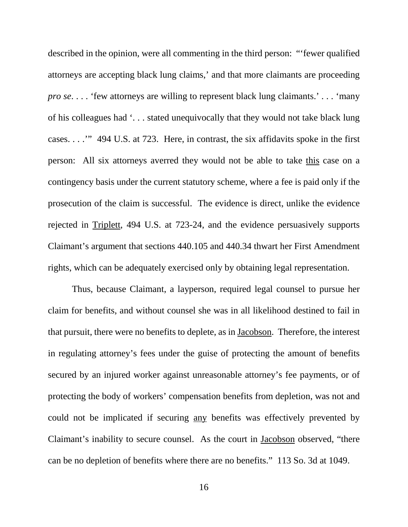described in the opinion, were all commenting in the third person: "'fewer qualified attorneys are accepting black lung claims,' and that more claimants are proceeding *pro se*. . . . 'few attorneys are willing to represent black lung claimants.' . . . 'many of his colleagues had '. . . stated unequivocally that they would not take black lung cases. . . .'" 494 U.S. at 723. Here, in contrast, the six affidavits spoke in the first person: All six attorneys averred they would not be able to take this case on a contingency basis under the current statutory scheme, where a fee is paid only if the prosecution of the claim is successful. The evidence is direct, unlike the evidence rejected in Triplett, 494 U.S. at 723-24, and the evidence persuasively supports Claimant's argument that sections 440.105 and 440.34 thwart her First Amendment rights, which can be adequately exercised only by obtaining legal representation.

Thus, because Claimant, a layperson, required legal counsel to pursue her claim for benefits, and without counsel she was in all likelihood destined to fail in that pursuit, there were no benefits to deplete, as in Jacobson. Therefore, the interest in regulating attorney's fees under the guise of protecting the amount of benefits secured by an injured worker against unreasonable attorney's fee payments, or of protecting the body of workers' compensation benefits from depletion, was not and could not be implicated if securing any benefits was effectively prevented by Claimant's inability to secure counsel. As the court in Jacobson observed, "there can be no depletion of benefits where there are no benefits." 113 So. 3d at 1049.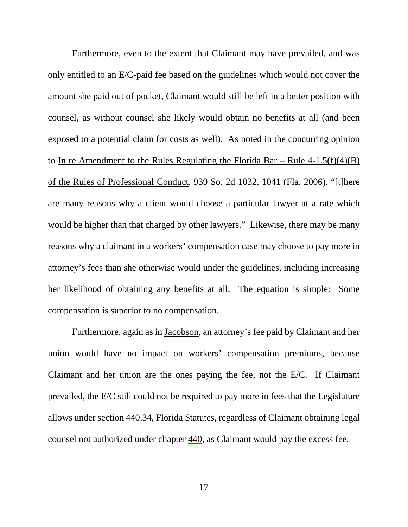Furthermore, even to the extent that Claimant may have prevailed, and was only entitled to an E/C-paid fee based on the guidelines which would not cover the amount she paid out of pocket, Claimant would still be left in a better position with counsel, as without counsel she likely would obtain no benefits at all (and been exposed to a potential claim for costs as well). As noted in the concurring opinion to In re Amendment to the Rules Regulating the Florida Bar – Rule  $4-1.5(f)(4)(B)$ of the Rules of Professional Conduct, 939 So. 2d 1032, 1041 (Fla. 2006), "[t]here are many reasons why a client would choose a particular lawyer at a rate which would be higher than that charged by other lawyers." Likewise, there may be many reasons why a claimant in a workers' compensation case may choose to pay more in attorney's fees than she otherwise would under the guidelines, including increasing her likelihood of obtaining any benefits at all. The equation is simple: Some compensation is superior to no compensation.

Furthermore, again as in Jacobson, an attorney's fee paid by Claimant and her union would have no impact on workers' compensation premiums, because Claimant and her union are the ones paying the fee, not the E/C. If Claimant prevailed, the E/C still could not be required to pay more in fees that the Legislature allows under section 440.34, Florida Statutes, regardless of Claimant obtaining legal counsel not authorized under chapter 440, as Claimant would pay the excess fee.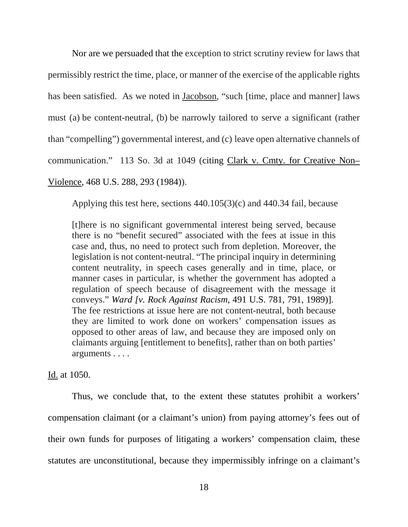Nor are we persuaded that the exception to strict scrutiny review for laws that permissibly restrict the time, place, or manner of the exercise of the applicable rights has been satisfied. As we noted in Jacobson, "such [time, place and manner] laws must (a) be content-neutral, (b) be narrowly tailored to serve a significant (rather than "compelling") governmental interest, and (c) leave open alternative channels of communication." 113 So. 3d at 1049 (citing Clark v. Cmty. for Creative Non– Violence, 468 U.S. 288, 293 (1984)).

Applying this test here, sections 440.105(3)(c) and 440.34 fail, because

[t]here is no significant governmental interest being served, because there is no "benefit secured" associated with the fees at issue in this case and, thus, no need to protect such from depletion. Moreover, the legislation is not content-neutral. "The principal inquiry in determining content neutrality, in speech cases generally and in time, place, or manner cases in particular, is whether the government has adopted a regulation of speech because of disagreement with the message it conveys." *Ward [v. Rock Against Racism*, 491 U.S. 781, 791, 1989)]. The fee restrictions at issue here are not content-neutral, both because they are limited to work done on workers' compensation issues as opposed to other areas of law, and because they are imposed only on claimants arguing [entitlement to benefits], rather than on both parties' arguments . . . .

Id. at 1050.

Thus, we conclude that, to the extent these statutes prohibit a workers' compensation claimant (or a claimant's union) from paying attorney's fees out of their own funds for purposes of litigating a workers' compensation claim, these statutes are unconstitutional, because they impermissibly infringe on a claimant's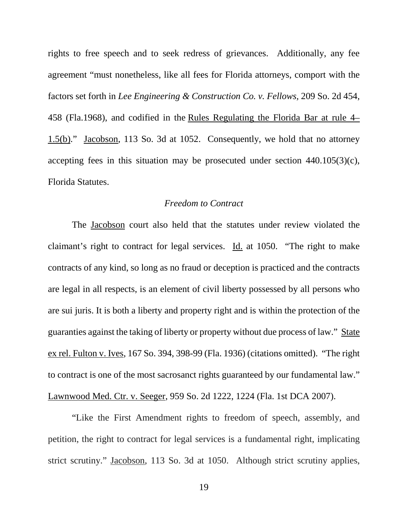rights to free speech and to seek redress of grievances. Additionally, any fee agreement "must nonetheless, like all fees for Florida attorneys, comport with the factors set forth in *Lee Engineering & Construction Co. v. Fellows,* 209 So. 2d 454, 458 (Fla.1968), and codified in the [Rules Regulating the Florida Bar at rule 4–](https://a.next.westlaw.com/Link/Document/FullText?findType=L&pubNum=1000006&cite=FLSTBARR4-1.5&originatingDoc=I193ee2c9cde611e2981ea20c4f198a69&refType=LQ&originationContext=document&transitionType=DocumentItem&contextData=(sc.History*oc.UserEnteredCitation)) [1.5\(b\).](https://a.next.westlaw.com/Link/Document/FullText?findType=L&pubNum=1000006&cite=FLSTBARR4-1.5&originatingDoc=I193ee2c9cde611e2981ea20c4f198a69&refType=LQ&originationContext=document&transitionType=DocumentItem&contextData=(sc.History*oc.UserEnteredCitation))" Jacobson, 113 So. 3d at 1052. Consequently, we hold that no attorney accepting fees in this situation may be prosecuted under section 440.105(3)(c), Florida Statutes.

# *Freedom to Contract*

The Jacobson court also held that the statutes under review violated the claimant's right to contract for legal services. Id. at 1050. "The right to make contracts of any kind, so long as no fraud or deception is practiced and the contracts are legal in all respects, is an element of civil liberty possessed by all persons who are sui juris. It is both a liberty and property right and is within the protection of the guaranties against the taking of liberty or property without due process of law." State ex rel. Fulton v. Ives, 167 So. 394, 398-99 (Fla. 1936) (citations omitted). "The right to contract is one of the most sacrosanct rights guaranteed by our fundamental law." Lawnwood Med. Ctr. v. Seeger, 959 So. 2d 1222, 1224 (Fla. 1st DCA 2007).

"Like the First Amendment rights to freedom of speech, assembly, and petition, the right to contract for legal services is a fundamental right, implicating strict scrutiny." Jacobson, 113 So. 3d at 1050. Although strict scrutiny applies,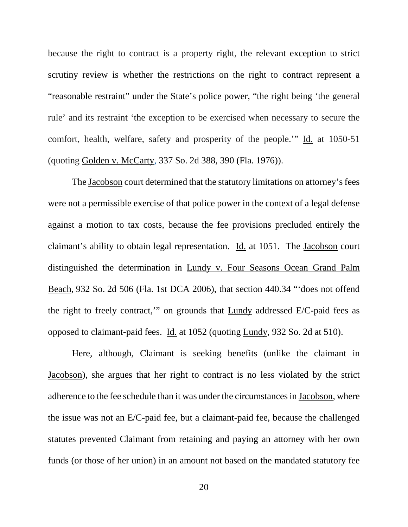because the right to contract is a property right, the relevant exception to strict scrutiny review is whether the restrictions on the right to contract represent a "reasonable restraint" under the State's police power, "the right being 'the general rule' and its restraint 'the exception to be exercised when necessary to secure the comfort, health, welfare, safety and prosperity of the people.'" Id. at 1050-51 (quoting Golden v. McCarty, 337 So. 2d 388, 390 (Fla. 1976)).

The Jacobson court determined that the statutory limitations on attorney's fees were not a permissible exercise of that police power in the context of a legal defense against a motion to tax costs, because the fee provisions precluded entirely the claimant's ability to obtain legal representation. Id. at 1051. The Jacobson court distinguished the determination in Lundy v. Four Seasons Ocean Grand Palm Beach, 932 So. 2d 506 (Fla. 1st DCA 2006), that section 440.34 "'does not offend the right to freely contract,'" on grounds that Lundy addressed E/C-paid fees as opposed to claimant-paid fees. Id. at 1052 (quoting Lundy, 932 So. 2d at 510).

Here, although, Claimant is seeking benefits (unlike the claimant in Jacobson), she argues that her right to contract is no less violated by the strict adherence to the fee schedule than it was under the circumstances in Jacobson, where the issue was not an E/C-paid fee, but a claimant-paid fee, because the challenged statutes prevented Claimant from retaining and paying an attorney with her own funds (or those of her union) in an amount not based on the mandated statutory fee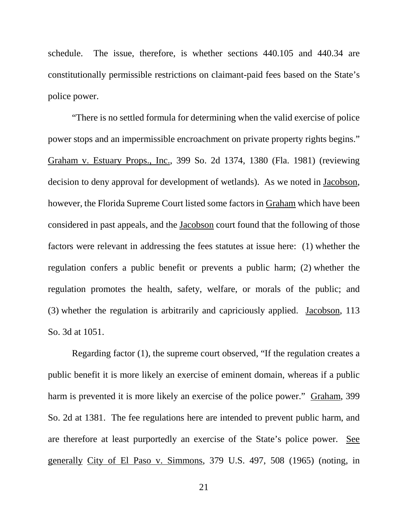schedule. The issue, therefore, is whether sections 440.105 and 440.34 are constitutionally permissible restrictions on claimant-paid fees based on the State's police power.

"There is no settled formula for determining when the valid exercise of police power stops and an impermissible encroachment on private property rights begins." Graham v. Estuary Props., Inc., 399 So. 2d 1374, 1380 (Fla. 1981) (reviewing decision to deny approval for development of wetlands). As we noted in Jacobson, however, the Florida Supreme Court listed some factors in Graham which have been considered in past appeals, and the Jacobson court found that the following of those factors were relevant in addressing the fees statutes at issue here: (1) whether the regulation confers a public benefit or prevents a public harm; (2) whether the regulation promotes the health, safety, welfare, or morals of the public; and (3) whether the regulation is arbitrarily and capriciously applied. Jacobson, 113 So. 3d at 1051.

Regarding factor (1), the supreme court observed, "If the regulation creates a public benefit it is more likely an exercise of eminent domain, whereas if a public harm is prevented it is more likely an exercise of the police power." Graham, 399 So. 2d at 1381. The fee regulations here are intended to prevent public harm, and are therefore at least purportedly an exercise of the State's police power. See generally City of El Paso v. Simmons, 379 U.S. 497, 508 (1965) (noting, in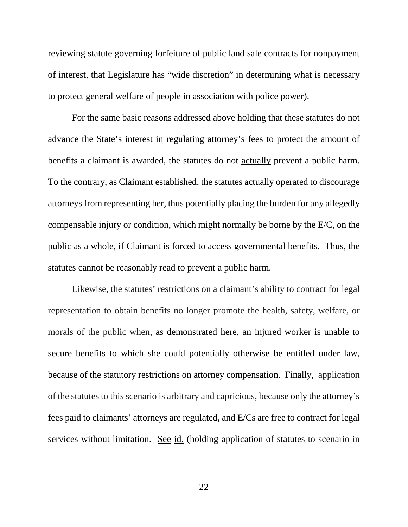reviewing statute governing forfeiture of public land sale contracts for nonpayment of interest, that Legislature has "wide discretion" in determining what is necessary to protect general welfare of people in association with police power).

For the same basic reasons addressed above holding that these statutes do not advance the State's interest in regulating attorney's fees to protect the amount of benefits a claimant is awarded, the statutes do not actually prevent a public harm. To the contrary, as Claimant established, the statutes actually operated to discourage attorneys from representing her, thus potentially placing the burden for any allegedly compensable injury or condition, which might normally be borne by the E/C, on the public as a whole, if Claimant is forced to access governmental benefits. Thus, the statutes cannot be reasonably read to prevent a public harm.

Likewise, the statutes' restrictions on a claimant's ability to contract for legal representation to obtain benefits no longer promote the health, safety, welfare, or morals of the public when, as demonstrated here, an injured worker is unable to secure benefits to which she could potentially otherwise be entitled under law, because of the statutory restrictions on attorney compensation. Finally, application of the statutes to this scenario is arbitrary and capricious, because only the attorney's fees paid to claimants' attorneys are regulated, and E/Cs are free to contract for legal services without limitation. See id. (holding application of statutes to scenario in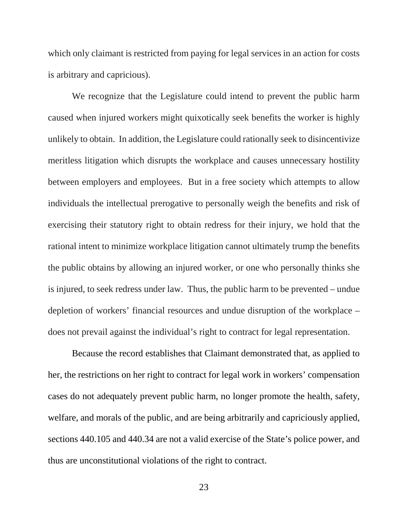which only claimant is restricted from paying for legal services in an action for costs is arbitrary and capricious).

We recognize that the Legislature could intend to prevent the public harm caused when injured workers might quixotically seek benefits the worker is highly unlikely to obtain. In addition, the Legislature could rationally seek to disincentivize meritless litigation which disrupts the workplace and causes unnecessary hostility between employers and employees. But in a free society which attempts to allow individuals the intellectual prerogative to personally weigh the benefits and risk of exercising their statutory right to obtain redress for their injury, we hold that the rational intent to minimize workplace litigation cannot ultimately trump the benefits the public obtains by allowing an injured worker, or one who personally thinks she is injured, to seek redress under law. Thus, the public harm to be prevented – undue depletion of workers' financial resources and undue disruption of the workplace – does not prevail against the individual's right to contract for legal representation.

Because the record establishes that Claimant demonstrated that, as applied to her, the restrictions on her right to contract for legal work in workers' compensation cases do not adequately prevent public harm, no longer promote the health, safety, welfare, and morals of the public, and are being arbitrarily and capriciously applied, sections 440.105 and 440.34 are not a valid exercise of the State's police power, and thus are unconstitutional violations of the right to contract.

23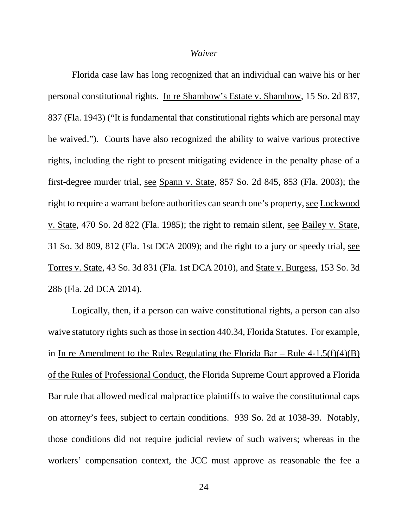#### *Waiver*

Florida case law has long recognized that an individual can waive his or her personal constitutional rights. In re Shambow's Estate v. Shambow, 15 So. 2d 837, 837 (Fla. 1943) ("It is fundamental that constitutional rights which are personal may be waived."). Courts have also recognized the ability to waive various protective rights, including the right to present mitigating evidence in the penalty phase of a first-degree murder trial, see Spann v. State, 857 So. 2d 845, 853 (Fla. 2003); the right to require a warrant before authorities can search one's property, see Lockwood v. State, 470 So. 2d 822 (Fla. 1985); the right to remain silent, see Bailey v. State, 31 So. 3d 809, 812 (Fla. 1st DCA 2009); and the right to a jury or speedy trial, see Torres v. State, 43 So. 3d 831 (Fla. 1st DCA 2010), and State v. Burgess, 153 So. 3d 286 (Fla. 2d DCA 2014).

Logically, then, if a person can waive constitutional rights, a person can also waive statutory rights such as those in section 440.34, Florida Statutes. For example, in In re Amendment to the Rules Regulating the Florida Bar – Rule  $4-1.5(f)(4)(B)$ of the Rules of Professional Conduct, the Florida Supreme Court approved a Florida Bar rule that allowed medical malpractice plaintiffs to waive the constitutional caps on attorney's fees, subject to certain conditions. 939 So. 2d at 1038-39. Notably, those conditions did not require judicial review of such waivers; whereas in the workers' compensation context, the JCC must approve as reasonable the fee a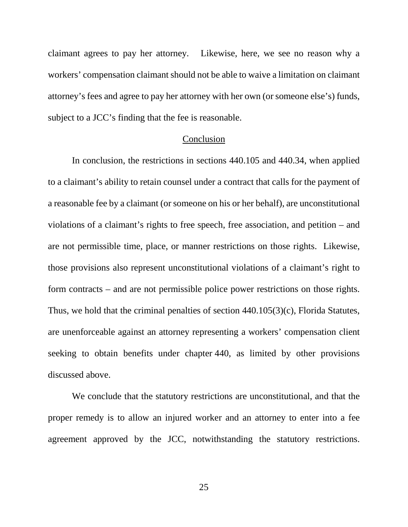claimant agrees to pay her attorney. Likewise, here, we see no reason why a workers' compensation claimant should not be able to waive a limitation on claimant attorney's fees and agree to pay her attorney with her own (or someone else's) funds, subject to a JCC's finding that the fee is reasonable.

#### Conclusion

In conclusion, the restrictions in sections 440.105 and 440.34, when applied to a claimant's ability to retain counsel under a contract that calls for the payment of a reasonable fee by a claimant (or someone on his or her behalf), are unconstitutional violations of a claimant's rights to free speech, free association, and petition – and are not permissible time, place, or manner restrictions on those rights. Likewise, those provisions also represent unconstitutional violations of a claimant's right to form contracts – and are not permissible police power restrictions on those rights. Thus, we hold that the criminal penalties of section 440.105(3)(c), Florida Statutes, are unenforceable against an attorney representing a workers' compensation client seeking to obtain benefits under chapter 440, as limited by other provisions discussed above.

We conclude that the statutory restrictions are unconstitutional, and that the proper remedy is to allow an injured worker and an attorney to enter into a fee agreement approved by the JCC, notwithstanding the statutory restrictions.

25